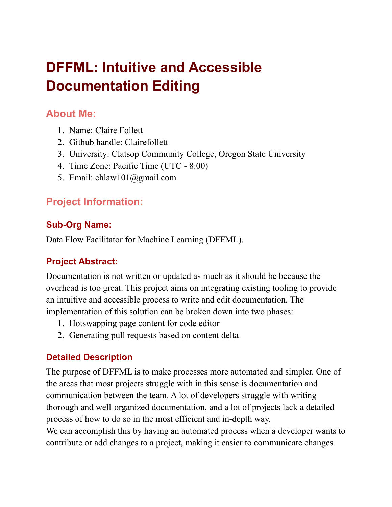# **DFFML: Intuitive and Accessible Documentation Editing**

## **About Me:**

- 1. Name: Claire Follett
- 2. Github handle: Clairefollett
- 3. University: Clatsop Community College, Oregon State University
- 4. Time Zone: Pacific Time (UTC 8:00)
- 5. Email: chlaw101@gmail.com

# **Project Information:**

## **Sub-Org Name:**

Data Flow Facilitator for Machine Learning (DFFML).

## **Project Abstract:**

Documentation is not written or updated as much as it should be because the overhead is too great. This project aims on integrating existing tooling to provide an intuitive and accessible process to write and edit documentation. The implementation of this solution can be broken down into two phases:

- 1. Hotswapping page content for code editor
- 2. Generating pull requests based on content delta

## **Detailed Description**

The purpose of DFFML is to make processes more automated and simpler. One of the areas that most projects struggle with in this sense is documentation and communication between the team. A lot of developers struggle with writing thorough and well-organized documentation, and a lot of projects lack a detailed process of how to do so in the most efficient and in-depth way.

We can accomplish this by having an automated process when a developer wants to contribute or add changes to a project, making it easier to communicate changes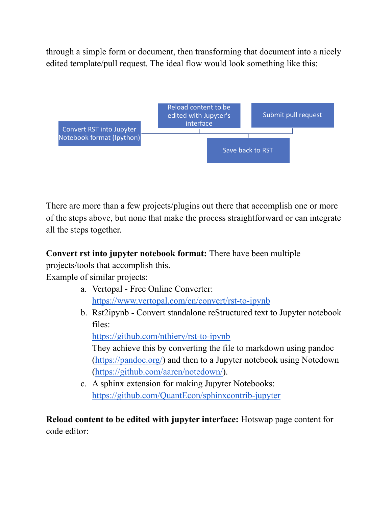through a simple form or document, then transforming that document into a nicely edited template/pull request. The ideal flow would look something like this:



There are more than a few projects/plugins out there that accomplish one or more of the steps above, but none that make the process straightforward or can integrate all the steps together.

#### **Convert rst into jupyter notebook format:** There have been multiple

projects/tools that accomplish this.

Example of similar projects:

 $\mathbf{I}$ 

- a. Vertopal Free Online Converter: <https://www.vertopal.com/en/convert/rst-to-ipynb>
- b. Rst2ipynb Convert standalone reStructured text to Jupyter notebook files:

<https://github.com/nthiery/rst-to-ipynb>

They achieve this by converting the file to markdown using pandoc ([https://pandoc.org/\)](https://pandoc.org/) and then to a Jupyter notebook using Notedown (<https://github.com/aaren/notedown/>).

c. A sphinx extension for making Jupyter Notebooks: <https://github.com/QuantEcon/sphinxcontrib-jupyter>

**Reload content to be edited with jupyter interface:** Hotswap page content for code editor: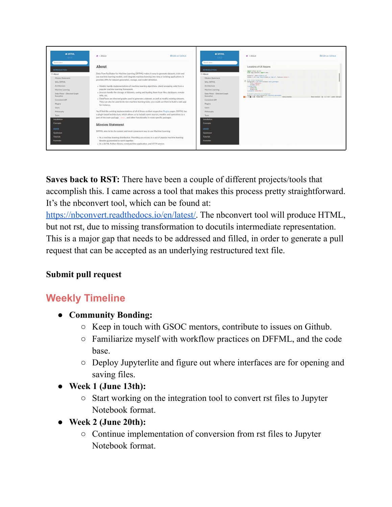

**Saves back to RST:** There have been a couple of different projects/tools that accomplish this. I came across a tool that makes this process pretty straightforward. It's the nbconvert tool, which can be found at:

[https://nbconvert.readthedocs.io/en/latest/.](https://nbconvert.readthedocs.io/en/latest/) The nbconvert tool will produce HTML, but not rst, due to missing transformation to docutils intermediate representation. This is a major gap that needs to be addressed and filled, in order to generate a pull request that can be accepted as an underlying restructured text file.

### **Submit pull request**

# **Weekly Timeline**

- **● Community Bonding:**
	- Keep in touch with GSOC mentors, contribute to issues on Github.
	- Familiarize myself with workflow practices on DFFML, and the code base.
	- Deploy Jupyterlite and figure out where interfaces are for opening and saving files.
- **● Week 1 (June 13th):**
	- Start working on the integration tool to convert rst files to Jupyter Notebook format.
- **● Week 2 (June 20th):**
	- Continue implementation of conversion from rst files to Jupyter Notebook format.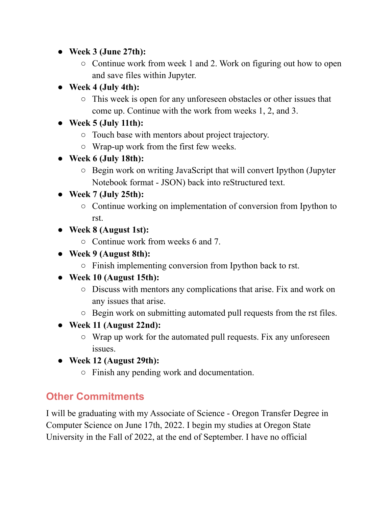- **● Week 3 (June 27th):**
	- Continue work from week 1 and 2. Work on figuring out how to open and save files within Jupyter.
- **● Week 4 (July 4th):**
	- This week is open for any unforeseen obstacles or other issues that come up. Continue with the work from weeks 1, 2, and 3.
- **● Week 5 (July 11th):**
	- Touch base with mentors about project trajectory.
	- Wrap-up work from the first few weeks.
- **● Week 6 (July 18th):**
	- Begin work on writing JavaScript that will convert Ipython (Jupyter Notebook format - JSON) back into reStructured text.

## **● Week 7 (July 25th):**

- Continue working on implementation of conversion from Ipython to rst.
- **● Week 8 (August 1st):**
	- Continue work from weeks 6 and 7.
- **● Week 9 (August 8th):**
	- Finish implementing conversion from Ipython back to rst.
- **● Week 10 (August 15th):**
	- Discuss with mentors any complications that arise. Fix and work on any issues that arise.
	- Begin work on submitting automated pull requests from the rst files.
- **● Week 11 (August 22nd):**
	- Wrap up work for the automated pull requests. Fix any unforeseen issues.
- **● Week 12 (August 29th):**
	- Finish any pending work and documentation.

# **Other Commitments**

I will be graduating with my Associate of Science - Oregon Transfer Degree in Computer Science on June 17th, 2022. I begin my studies at Oregon State University in the Fall of 2022, at the end of September. I have no official